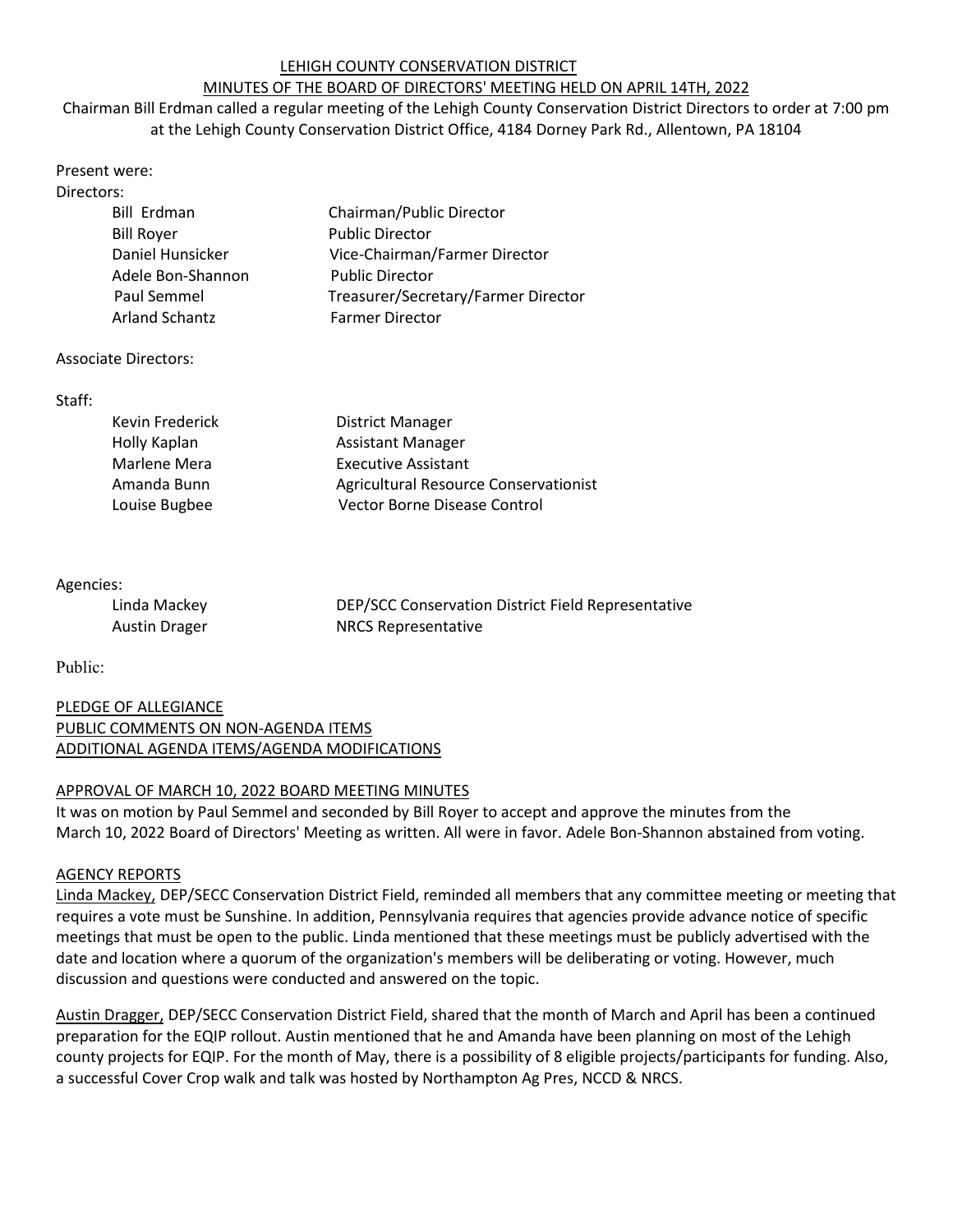## LEHIGH COUNTY CONSERVATION DISTRICT

# MINUTES OF THE BOARD OF DIRECTORS' MEETING HELD ON APRIL 14TH, 2022

Chairman Bill Erdman called a regular meeting of the Lehigh County Conservation District Directors to order at 7:00 pm at the Lehigh County Conservation District Office, 4184 Dorney Park Rd., Allentown, PA 18104

| Present were:     |                               |
|-------------------|-------------------------------|
| Directors:        |                               |
| Bill Erdman       | Chairman/Public Director      |
| <b>Bill Royer</b> | <b>Public Director</b>        |
| Daniel Hunsicker  | Vice-Chairman/Farmer Director |
| Adele Bon-Shannon | <b>Public Director</b>        |

### Associate Directors:

### Staff:

| Kevin Frederick | <b>District Manager</b>               |
|-----------------|---------------------------------------|
| Holly Kaplan    | <b>Assistant Manager</b>              |
| Marlene Mera    | <b>Executive Assistant</b>            |
| Amanda Bunn     | Agricultural Resource Conservationist |
| Louise Bugbee   | Vector Borne Disease Control          |

Paul Semmel Treasurer/Secretary/Farmer Director

Arland Schantz Farmer Director

### Agencies:

| Linda Mackey         | DEP/SCC Conservation District Field Representative |
|----------------------|----------------------------------------------------|
| <b>Austin Drager</b> | <b>NRCS Representative</b>                         |

Public:

## PLEDGE OF ALLEGIANCE PUBLIC COMMENTS ON NON-AGENDA ITEMS ADDITIONAL AGENDA ITEMS/AGENDA MODIFICATIONS

### APPROVAL OF MARCH 10, 2022 BOARD MEETING MINUTES

It was on motion by Paul Semmel and seconded by Bill Royer to accept and approve the minutes from the March 10, 2022 Board of Directors' Meeting as written. All were in favor. Adele Bon-Shannon abstained from voting.

### AGENCY REPORTS

Linda Mackey, DEP/SECC Conservation District Field, reminded all members that any committee meeting or meeting that requires a vote must be Sunshine. In addition, Pennsylvania requires that agencies provide advance notice of specific meetings that must be open to the public. Linda mentioned that these meetings must be publicly advertised with the date and location where a quorum of the organization's members will be deliberating or voting. However, much discussion and questions were conducted and answered on the topic.

Austin Dragger, DEP/SECC Conservation District Field, shared that the month of March and April has been a continued preparation for the EQIP rollout. Austin mentioned that he and Amanda have been planning on most of the Lehigh county projects for EQIP. For the month of May, there is a possibility of 8 eligible projects/participants for funding. Also, a successful Cover Crop walk and talk was hosted by Northampton Ag Pres, NCCD & NRCS.